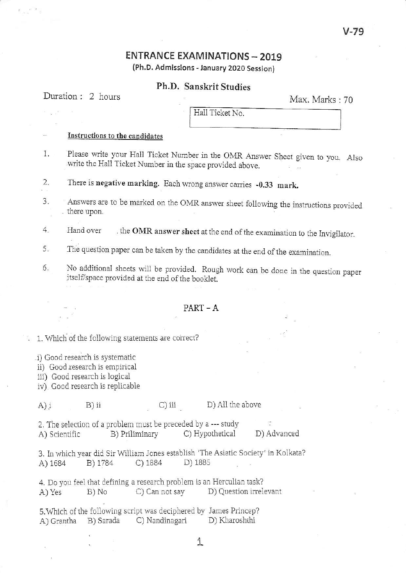## v-79

# **ENTRANCE EXAMINATIONS - 2019**

(Ph,D. Admissions - January 2O2O Session)

## Ph.D. Sanskrit Studies

# Duration : 2 hours Max. Marks : 70

HaIl Ticket No.

#### Instructions to the candidates

- 1. Please write your Hall Ticket Number in the OMR Answer Sheet given to you. Also write the Hall Ticket Number in the space provided above.
- 2. There is negative marking. Each wrong answer carries -0.33 mark.
- 3. Answers are to be marked on the OMR answer sheet following the instructions provided there upon
- 4. Hand over the OMR answer sheet at the end of the examination to the Invigilator.
- 5. The question paper can be taken by the candidates at the end of the examination.
- 6. No additional sheets will be provided. Rough work can be done in the question paper itself/space provided at the end of the booklet.

### $PART - A$

#### . 1. which of the following statements are coirect?

i) Good rcsearch is syslemalic

- ii) Good research is empirical
- iii) Good research is logical
- iv) Good research is replicable

#### A) i B) ii C) iii D) All the above

2. The selection o{ a probLem mustbe preceded by a -- study B) Priliminary C) Hypothetical D) Advanced

3. In which year did Sir William Jones establish 'The Asiatic Society' in Kolkata? A) 1684 B) 1784 C) 1884 D) 188s

4. Do you feel that defining a research problem is an Herculian task? A) Yes B) No C) Can not say D) Question irrelevant

5. Which of the following script was deciphered by James Princep?<br>A Crantha B Sarada C Nandinagari D Kharoshthi A) Grantha B) Sarada C) Nandinagari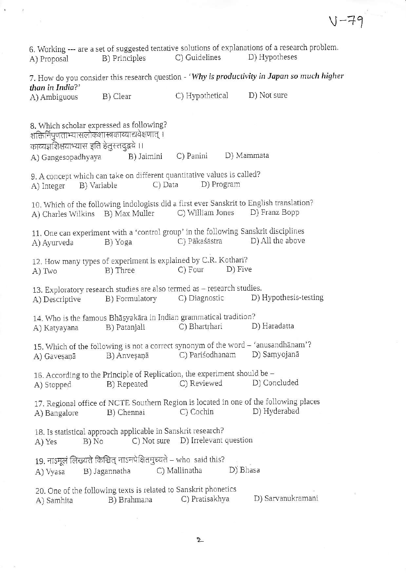6. Working --- are a set of suggested tentative solutions of explanations of a research problem A) Proposal B) Principles C) Guidelines D) Hypotheses 7. How do you consider this research question - 'Why is productivity in Japan so much higher than in India?' A) Anbiguous B) Clear C) Hypothetical D) Not sure 8. Which scholar expressed as following? शक्तिर्निपुणताभ्यासलोकशास्त्रकाव्याद्यवेक्षणात् । काव्यज्ञशिक्षयाभ्यास इति हेतुस्तदुद्भवे ।। A) Gangesopadhyaya B) Jaimini C) Panini D) Mammata 9. A concept which can take on different quantitative values is called? A) Integer B) Variable C) Data D) Program 10. Which of the following indologists did a first ever Sanskrit to English translation?<br>A) Charles Wilkins B) Max Muller C) William Jones D) Franz Bopp A) Charles Wilkins B) Max Muller 11. One can experiment with a 'control group' in the following Sanskrit disciplines A) Ayurveda B) Yoga C) Pākaśāstra D) All the above 12. How many types of experiment is explained by C.R. Kothari? A) Two B) Three C) Four D) Five 13. Exploratory research studies are also termed as – research studies.<br>A) Descriptive B) Formulatory C) Diagnostic D) l D) Hypothesis-testing 14. Who is the famous Bha;yakara in Indian grammatical tradition? A) Katyayana B) Patanjali C) Bhartrharl D) Haradatta 15. Which of the following is not a corect synonym of the word - 'anusandhanam'? A) Gavesaṇā B) Anveṣaṇā C) Pariśodhanam D) Saṃyojanā 16. According to the Principle of Replication, the experiment should be A) Stopped B) Repeated C) Reviewed D) Concluded 17. Regional office of NCTE Southern Region is located in one of the following places A) Bangalore B) Chennai C) Cochin D) Hyderabad 18. Is statistical approach applicable in Sanskrit research? A) Yes B) No C) Not sure D) Irrelevant question 19. नाऽमूलं लिख्यते किञ्चित् नाऽनपेक्षितमुच्यते – who said this?<br>A) Vyasa B) Jagannatha C) Mallinatha A) Vyasa B) Jagannatha C) Mallinatha D) Bhasa 20. One of the following texts is related to Sanskrit phonetics<br>
A) Samhita B) Brahmana C) Pratisakhya A) Samhita  $\overline{B}$ ) Brahmana C) Pratisakhya D) Sarvanukramani

 $V - 7$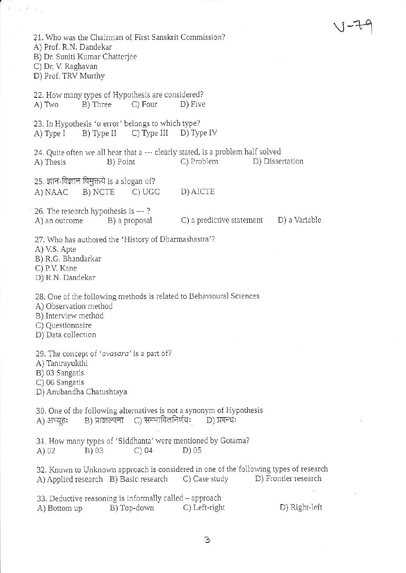$\vee$ -79 21. Who was the Chairman of First Sanskrit Commission? A) Prof. R.N. Dandekar B) Dr. Suniti Kumar Chatterjee C) Dr. V. Raghavan D) Prof. TRV Murthy 22. How many types of Hypothesis are considered?<br>A) Two B) Three C) Four D) Five 23. In Hypothesis ' $\alpha$  error' belongs to which type?<br>A) Type I B) Type II C) Type III D) Type IV A) Type  $I$  B) Type  $II$  C) Type III 24. Quite often we all hear that a --- clearly stated, is a problem half solved<br>A) Thesis B) Point C) Problem D) Dissertation A) Thesis B) Point C) Problem D) Dissertation  $25.$  ज्ञान-विज्ञान विमुक्तये is a slogan of? A) NAAC B) NCTE C) UGC D)AICTE 26. The research hypothesis is ---?<br>A) an outcome B) a proposal C) a predictive statement D) a Variable 27. Who has authored the 'History of Dharmashastra'? A) V.S. Apte B) R.G. Bhandarkar C) P.V. Kane D) R.N. Dandekar 28. One of the following methods is related to Behavioural Sciences A) Observation method B) Interview method C) Questionnairc D) Data collection 29. The concept of 'avasara' is a part of? A) Tantrayukthi B) 03 Sangatis C) 06 Sangatis D) Anubandha Chatushtaya 30. One of the following alternatives is not a synonym of Hypothesis A) अभ्यूहः B) प्राक्कल्पना C) सम्भावितनिर्णयः D) प्रबन्धः 31. How many types of 'Siddhanta' were mentioned by Gotama? A) 02 B) 03 C) 04 D) 05 32. Known to Unknown approach is considered in one of the following types of research<br>A) Applied research B) Basic research C) Case study D) Frontier research A) Applied research B) Basic research C) Case study 33. Deductive reasoning is informally called – approach<br>
A) Bottom up B) Top-down C) Left-right B) Top-down C) Left-right D) Right-left

 $\mathbf{I}$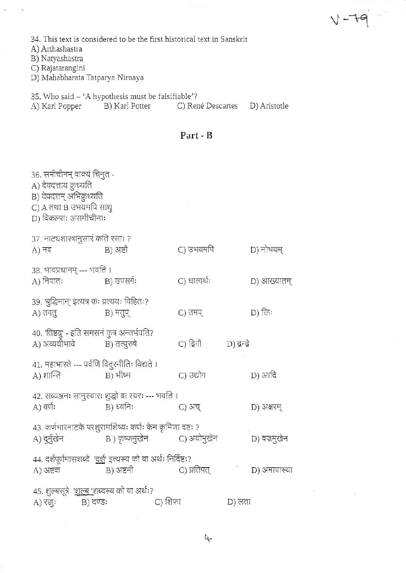34. This text is considered to be the first historical text in Sanskrit

A) Arthashastra

B) Natyashastra

C) Rajatarangini<br>D) Mahabharata Tatparya Nirnaya

35. Who said - 'A hypothesis must be falsifiable'?

B) Karl Potter A) Karl Popper C) René Descartes D) Aristotle

## Part - B

| 36. समीचीनम् वाक्यं चिनुत -<br>A) देवदत्ताय क्रुध्यति<br>B) देवदत्तम् अभिक्रृध्यति<br>C) A तथा B उभयमपि साधु<br>D) विकल्पाः असमीचीनाः |              |                                 |        |              |  |  |  |
|---------------------------------------------------------------------------------------------------------------------------------------|--------------|---------------------------------|--------|--------------|--|--|--|
| 37. नाट्यशास्त्रानुसार कति रसाः ?<br>A) नव                                                                                            | B) अष्टौ     | C) उभयमपि                       |        | D) नोभयम्    |  |  |  |
| 38. भावप्रधानम् --- भवति ।<br>A) निपातः                                                                                               | 'в) उपसर्गः  | C) धात्वर्थः                    |        | D) आख्यातम्  |  |  |  |
| 39. 'बुद्धिमान्' इत्यत्र कः प्रत्ययः विहितः?<br>A) तवतु                                                                               | B) मतुप्     | C) तमप्                         |        | D) किः       |  |  |  |
| 40. 'तिष्ठद्गु' - इति समसनं कुत्र अन्तर्भवति?<br>A) अव्ययीभावे                                                                        | B) तत्पुरुषे | C) दिगौ            D) द्वन्द्वे |        |              |  |  |  |
| 41. महाभारते --- पर्वणि विदुरनीतिः विद्यते ।<br>A) शान्ति                                                                             | B) भीष्म     | C) उद्योग                       |        | D) आदि       |  |  |  |
| 42. सव्यञ्जनः सानुस्वारः शुद्धो वा स्वरः --- भवति ।<br>A) वर्णः                                                                       | B) ध्वनिः    | C) अच्                          |        | D) अक्षरम्   |  |  |  |
| 43. कर्णभारनाटके परशुरामशिष्यः कर्णः केन कृमिणा दष्टः ?                                                                               |              |                                 |        | D) वज्रमुखेन |  |  |  |
| 44. दर्शपूर्णमासशब्दे  ' <u>दर्श</u> ' इत्यस्य को वा अर्थः निर्दिष्टः?<br>A) अष्टक                                                    | B) अष्टमी    | C) प्रतिपत्                     |        | D) अमावास्या |  |  |  |
| 45. शुल्बसूत्रे  ' <u>शुल्ब '</u> शब्दस्य को वा अर्थः?<br>B) दण्डः<br>A) रज्जुः                                                       |              | C) शिफा                         | D) लता |              |  |  |  |

 $\tilde{\Xi}$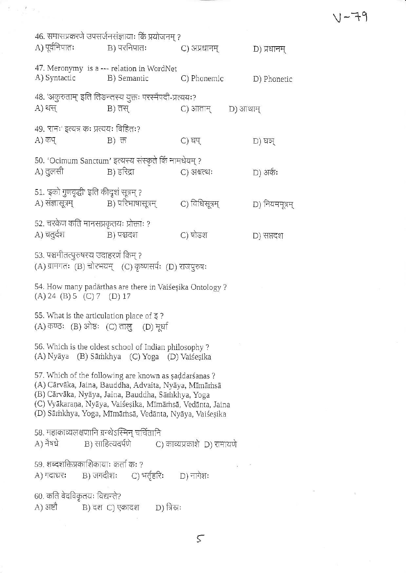$V - 79$ 

 $\sim$   $\sim$   $\sim$ 

|                                                                                                                                                                                                                                                                                        | A) पूर्वनिपातः                | 46. समासप्रकरणे उपसर्जनसंज्ञायाः किं प्रयोजनम् ?<br>B) परनिपातः                                       | C) अप्रधानम्      | D) प्रधानम्    |  |  |
|----------------------------------------------------------------------------------------------------------------------------------------------------------------------------------------------------------------------------------------------------------------------------------------|-------------------------------|-------------------------------------------------------------------------------------------------------|-------------------|----------------|--|--|
|                                                                                                                                                                                                                                                                                        |                               | 47. Meronymy is a --- relation in WordNet<br>A) Syntactic B) Semantic                                 | C) Phonemic       | D) Phonetic    |  |  |
|                                                                                                                                                                                                                                                                                        | $A)$ थस                       | 48. 'अकुरुताम्' इति तिङन्तस्य युक्तः परस्मैपदी-प्रत्ययः?<br>B) तस्                                    | C) आताम् D) आथाम् |                |  |  |
|                                                                                                                                                                                                                                                                                        | A) कप्                        | ४९. 'रामः' इत्यत्र कः प्रत्ययः विहितः?<br>B) 币                                                        | C) घप्            | D) घञ्         |  |  |
|                                                                                                                                                                                                                                                                                        | A) तुलसी                      | 50. 'Ocimum Sanctum' इत्यस्य संस्कृते किं नामधेयम् ?<br>B) हरिद्रा                                    | C) अश्वत्थः       | D) अर्कः       |  |  |
|                                                                                                                                                                                                                                                                                        |                               | 51. 'इको गुणवृद्धी' इति कीदृशं सूत्रम् ?<br>A) संज्ञासूत्रम्                     B) परिभाषासूत्रम्    | C) विधिसूत्रम्    | D) नियममूत्रम् |  |  |
|                                                                                                                                                                                                                                                                                        | A) चतुर्दश                    | 52. चरकेण कति मानसप्रकृतयः प्रोक्ताः ?<br>B) पञ्चदश                                                   | C) षोडश           | D) सप्तदश      |  |  |
| 53. पञ्चमीतत्पुरुषस्य उदाहरणं किम् ?<br>(A) ग्रामगतः (B) चोरभयम् (C) कृष्णसर्पः (D) राजपुरुषः                                                                                                                                                                                          |                               |                                                                                                       |                   |                |  |  |
| 54. How many padārthas are there in Vaiśesika Ontology ?<br>$(A)$ 24 $(B)$ 5 $(C)$ 7 $(D)$ 17                                                                                                                                                                                          |                               |                                                                                                       |                   |                |  |  |
| 55. What is the articulation place of $\xi$ ?<br>(A) कण्ठः (B) ओष्ठः (C) तालु (D) मूर्धा                                                                                                                                                                                               |                               |                                                                                                       |                   |                |  |  |
| 56. Which is the oldest school of Indian philosophy?<br>(A) Nyāya (B) Sāmkhya (C) Yoga (D) Vaiśesika                                                                                                                                                                                   |                               |                                                                                                       |                   |                |  |  |
| 57. Which of the following are known as saddarśanas?<br>(A) Cārvāka, Jaina, Bauddha, Advaita, Nyāya, Mīmāmsā<br>(B) Cārvāka, Nyāya, Jaina, Bauddha, Sāṁkhya, Yoga<br>(C) Vyākaraņa, Nyāya, Vaiśeṣika, Mīmāṁsā, Vedānta, Jaina<br>(D) Sāmkhya, Yoga, Mīmāmsā, Vedānta, Nyāya, Vaiśeșika |                               |                                                                                                       |                   |                |  |  |
|                                                                                                                                                                                                                                                                                        |                               | 58. महाकाव्यलक्षणानि ग्रन्थेऽस्मिन् चर्चितानि<br>A) नैषधे B) साहित्यदर्पणे C) काव्यप्रकाशे D) रामायणे |                   |                |  |  |
|                                                                                                                                                                                                                                                                                        |                               | 59. शब्दशक्तिप्रकाशिकायाः कर्ता कः ?<br>A) गदाधरः B) जगदीशः C) भर्तृहरिः D) नागेशः                    |                   |                |  |  |
|                                                                                                                                                                                                                                                                                        | 60. कति वेदविकृतयः विद्यन्ते? | A) अष्टौ            B) दश C) एकादश        D) त्रिस्रः                                                 |                   |                |  |  |
|                                                                                                                                                                                                                                                                                        |                               |                                                                                                       |                   |                |  |  |

 $\label{eq:1.1} \tilde{\Sigma} = \frac{2}{\gamma^2} \left( \sigma \right) \, .$ 

 $\varsigma$